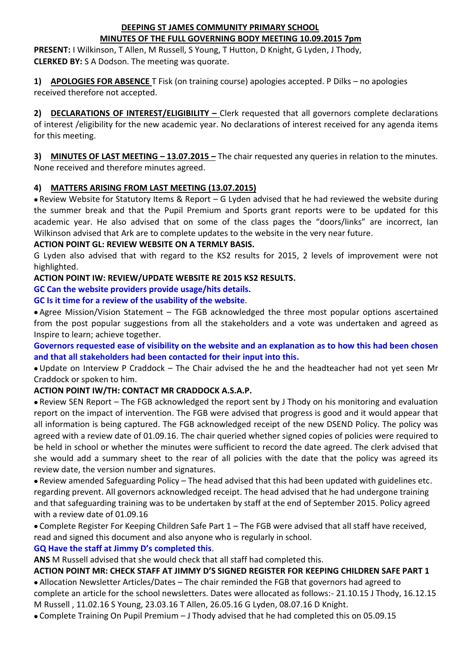#### **DEEPING ST JAMES COMMUNITY PRIMARY SCHOOL MINUTES OF THE FULL GOVERNING BODY MEETING 10.09.2015 7pm**

**PRESENT:** I Wilkinson, T Allen, M Russell, S Young, T Hutton, D Knight, G Lyden, J Thody, **CLERKED BY:** S A Dodson. The meeting was quorate.

**1) APOLOGIES FOR ABSENCE** T Fisk (on training course) apologies accepted. P Dilks – no apologies received therefore not accepted.

**2) DECLARATIONS OF INTEREST/ELIGIBILITY –** Clerk requested that all governors complete declarations of interest /eligibility for the new academic year. No declarations of interest received for any agenda items for this meeting.

**3) MINUTES OF LAST MEETING – 13.07.2015 –** The chair requested any queries in relation to the minutes. None received and therefore minutes agreed.

#### **4) MATTERS ARISING FROM LAST MEETING (13.07.2015)**

 Review Website for Statutory Items & Report – G Lyden advised that he had reviewed the website during the summer break and that the Pupil Premium and Sports grant reports were to be updated for this academic year. He also advised that on some of the class pages the "doors/links" are incorrect, Ian Wilkinson advised that Ark are to complete updates to the website in the very near future.

#### **ACTION POINT GL: REVIEW WEBSITE ON A TERMLY BASIS.**

G Lyden also advised that with regard to the KS2 results for 2015, 2 levels of improvement were not highlighted.

#### **ACTION POINT IW: REVIEW/UPDATE WEBSITE RE 2015 KS2 RESULTS.**

**GC Can the website providers provide usage/hits details.** 

#### **GC Is it time for a review of the usability of the website**.

 Agree Mission/Vision Statement – The FGB acknowledged the three most popular options ascertained from the post popular suggestions from all the stakeholders and a vote was undertaken and agreed as Inspire to learn; achieve together.

**Governors requested ease of visibility on the website and an explanation as to how this had been chosen and that all stakeholders had been contacted for their input into this.**

 Update on Interview P Craddock – The Chair advised the he and the headteacher had not yet seen Mr Craddock or spoken to him.

## **ACTION POINT IW/TH: CONTACT MR CRADDOCK A.S.A.P.**

 Review SEN Report – The FGB acknowledged the report sent by J Thody on his monitoring and evaluation report on the impact of intervention. The FGB were advised that progress is good and it would appear that all information is being captured. The FGB acknowledged receipt of the new DSEND Policy. The policy was agreed with a review date of 01.09.16. The chair queried whether signed copies of policies were required to be held in school or whether the minutes were sufficient to record the date agreed. The clerk advised that she would add a summary sheet to the rear of all policies with the date that the policy was agreed its review date, the version number and signatures.

 Review amended Safeguarding Policy – The head advised that this had been updated with guidelines etc. regarding prevent. All governors acknowledged receipt. The head advised that he had undergone training and that safeguarding training was to be undertaken by staff at the end of September 2015. Policy agreed with a review date of 01.09.16

 Complete Register For Keeping Children Safe Part 1 – The FGB were advised that all staff have received, read and signed this document and also anyone who is regularly in school.

#### **GQ Have the staff at Jimmy D's completed this**.

**ANS** M Russell advised that she would check that all staff had completed this.

## **ACTION POINT MR: CHECK STAFF AT JIMMY D'S SIGNED REGISTER FOR KEEPING CHILDREN SAFE PART 1**

 Allocation Newsletter Articles/Dates – The chair reminded the FGB that governors had agreed to complete an article for the school newsletters. Dates were allocated as follows:- 21.10.15 J Thody, 16.12.15 M Russell , 11.02.16 S Young, 23.03.16 T Allen, 26.05.16 G Lyden, 08.07.16 D Knight.

Complete Training On Pupil Premium – J Thody advised that he had completed this on 05.09.15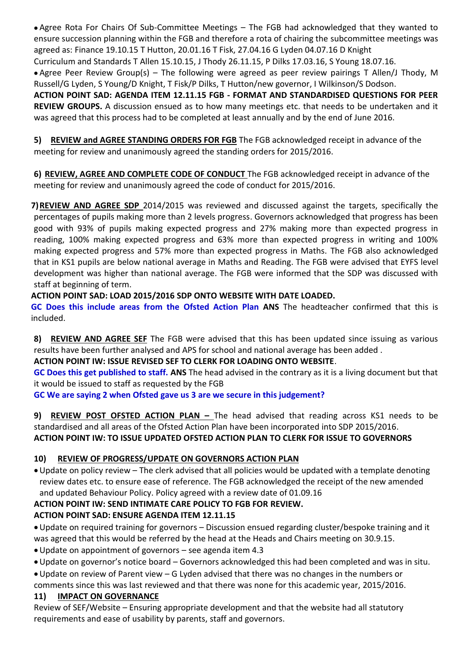Agree Rota For Chairs Of Sub-Committee Meetings – The FGB had acknowledged that they wanted to ensure succession planning within the FGB and therefore a rota of chairing the subcommittee meetings was agreed as: Finance 19.10.15 T Hutton, 20.01.16 T Fisk, 27.04.16 G Lyden 04.07.16 D Knight

Curriculum and Standards T Allen 15.10.15, J Thody 26.11.15, P Dilks 17.03.16, S Young 18.07.16.

 Agree Peer Review Group(s) – The following were agreed as peer review pairings T Allen/J Thody, M Russell/G Lyden, S Young/D Knight, T Fisk/P Dilks, T Hutton/new governor, I Wilkinson/S Dodson.

**ACTION POINT SAD: AGENDA ITEM 12.11.15 FGB - FORMAT AND STANDARDISED QUESTIONS FOR PEER REVIEW GROUPS.** A discussion ensued as to how many meetings etc. that needs to be undertaken and it was agreed that this process had to be completed at least annually and by the end of June 2016.

**5) REVIEW and AGREE STANDING ORDERS FOR FGB** The FGB acknowledged receipt in advance of the meeting for review and unanimously agreed the standing orders for 2015/2016.

**6) REVIEW, AGREE AND COMPLETE CODE OF CONDUCT** The FGB acknowledged receipt in advance of the meeting for review and unanimously agreed the code of conduct for 2015/2016.

**7)REVIEW AND AGREE SDP** 2014/2015 was reviewed and discussed against the targets, specifically the percentages of pupils making more than 2 levels progress. Governors acknowledged that progress has been good with 93% of pupils making expected progress and 27% making more than expected progress in reading, 100% making expected progress and 63% more than expected progress in writing and 100% making expected progress and 57% more than expected progress in Maths. The FGB also acknowledged that in KS1 pupils are below national average in Maths and Reading. The FGB were advised that EYFS level development was higher than national average. The FGB were informed that the SDP was discussed with staff at beginning of term.

**ACTION POINT SAD: LOAD 2015/2016 SDP ONTO WEBSITE WITH DATE LOADED.**

**GC Does this include areas from the Ofsted Action Plan ANS** The headteacher confirmed that this is included.

**8) REVIEW AND AGREE SEF** The FGB were advised that this has been updated since issuing as various results have been further analysed and APS for school and national average has been added .

## **ACTION POINT IW: ISSUE REVISED SEF TO CLERK FOR LOADING ONTO WEBSITE**.

**GC Does this get published to staff. ANS** The head advised in the contrary as it is a living document but that it would be issued to staff as requested by the FGB

**GC We are saying 2 when Ofsted gave us 3 are we secure in this judgement?**

**9) REVIEW POST OFSTED ACTION PLAN –** The head advised that reading across KS1 needs to be standardised and all areas of the Ofsted Action Plan have been incorporated into SDP 2015/2016. **ACTION POINT IW: TO ISSUE UPDATED OFSTED ACTION PLAN TO CLERK FOR ISSUE TO GOVERNORS**

# **10) REVIEW OF PROGRESS/UPDATE ON GOVERNORS ACTION PLAN**

Update on policy review – The clerk advised that all policies would be updated with a template denoting review dates etc. to ensure ease of reference. The FGB acknowledged the receipt of the new amended and updated Behaviour Policy. Policy agreed with a review date of 01.09.16

## **ACTION POINT IW: SEND INTIMATE CARE POLICY TO FGB FOR REVIEW.**

# **ACTION POINT SAD: ENSURE AGENDA ITEM 12.11.15**

Update on required training for governors – Discussion ensued regarding cluster/bespoke training and it was agreed that this would be referred by the head at the Heads and Chairs meeting on 30.9.15.

- Update on appointment of governors see agenda item 4.3
- Update on governor's notice board Governors acknowledged this had been completed and was in situ.
- Update on review of Parent view G Lyden advised that there was no changes in the numbers or

comments since this was last reviewed and that there was none for this academic year, 2015/2016.

# **11) IMPACT ON GOVERNANCE**

Review of SEF/Website – Ensuring appropriate development and that the website had all statutory requirements and ease of usability by parents, staff and governors.